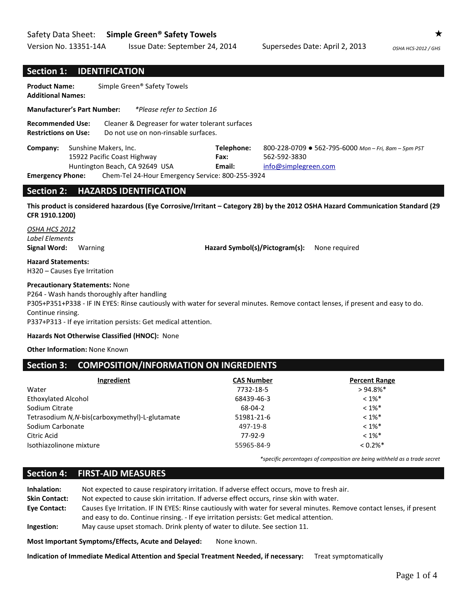## Safety Data Sheet: **Simple Green® Safety Towels**

Version No. 13351-14A Issue Date: September 24, 2014 Supersedes Date: April 2, 2013 OSHA HCS-2012 / GHS

## **Section 1: IDENTIFICATION**

| <b>Product Name:</b><br><b>Additional Names:</b>                  | Simple Green® Safety Towels                                                                                                                                                                                                                      |                                |                                                                                          |                                                 |
|-------------------------------------------------------------------|--------------------------------------------------------------------------------------------------------------------------------------------------------------------------------------------------------------------------------------------------|--------------------------------|------------------------------------------------------------------------------------------|-------------------------------------------------|
| <b>Manufacturer's Part Number:</b>                                | <i>*Please refer to Section 16</i>                                                                                                                                                                                                               |                                |                                                                                          |                                                 |
| <b>Recommended Use:</b><br><b>Restrictions on Use:</b>            | Cleaner & Degreaser for water tolerant surfaces<br>Do not use on non-rinsable surfaces.                                                                                                                                                          |                                |                                                                                          |                                                 |
| Company:<br><b>Emergency Phone:</b>                               | Sunshine Makers, Inc.<br>15922 Pacific Coast Highway<br>Huntington Beach, CA 92649 USA<br>Chem-Tel 24-Hour Emergency Service: 800-255-3924                                                                                                       | Telephone:<br>Fax:<br>Email:   | 800-228-0709 ● 562-795-6000 Mon-Fri, 8am-5pm PST<br>562-592-3830<br>info@simplegreen.com |                                                 |
| <b>Section 2:</b>                                                 | <b>HAZARDS IDENTIFICATION</b>                                                                                                                                                                                                                    |                                |                                                                                          |                                                 |
| CFR 1910.1200)                                                    | This product is considered hazardous (Eye Corrosive/Irritant - Category 2B) by the 2012 OSHA Hazard Communication Standard (29                                                                                                                   |                                |                                                                                          |                                                 |
| OSHA HCS 2012<br>Label Elements<br><b>Signal Word:</b><br>Warning |                                                                                                                                                                                                                                                  | Hazard Symbol(s)/Pictogram(s): | None required                                                                            |                                                 |
| <b>Hazard Statements:</b><br>H320 - Causes Eye Irritation         |                                                                                                                                                                                                                                                  |                                |                                                                                          |                                                 |
| <b>Precautionary Statements: None</b><br>Continue rinsing.        | P264 - Wash hands thoroughly after handling<br>P305+P351+P338 - IF IN EYES: Rinse cautiously with water for several minutes. Remove contact lenses, if present and easy to do.<br>P337+P313 - If eye irritation persists: Get medical attention. |                                |                                                                                          |                                                 |
|                                                                   | Hazards Not Otherwise Classified (HNOC): None                                                                                                                                                                                                    |                                |                                                                                          |                                                 |
| <b>Other Information: None Known</b>                              |                                                                                                                                                                                                                                                  |                                |                                                                                          |                                                 |
| <b>Section 3:</b>                                                 | <b>COMPOSITION/INFORMATION ON INGREDIENTS</b>                                                                                                                                                                                                    |                                |                                                                                          |                                                 |
| Water                                                             | Ingredient                                                                                                                                                                                                                                       | <b>CAS Number</b><br>7732-18-5 |                                                                                          | <b>Percent Range</b><br>$> 94.8\%$ <sup>*</sup> |

| water                                           | 7732-18-5  | > 94.8%                |
|-------------------------------------------------|------------|------------------------|
| Ethoxylated Alcohol                             | 68439-46-3 | $< 1\%$ <sup>*</sup>   |
| Sodium Citrate                                  | 68-04-2    | $< 1\%$ <sup>*</sup>   |
| Tetrasodium N, N-bis(carboxymethyl)-L-glutamate | 51981-21-6 | $< 1\%$ <sup>*</sup>   |
| Sodium Carbonate                                | 497-19-8   | $< 1\%$ <sup>*</sup>   |
| Citric Acid                                     | 77-92-9    | $< 1\%$ <sup>*</sup>   |
| Isothiazolinone mixture                         | 55965-84-9 | $< 0.2\%$ <sup>*</sup> |
|                                                 |            |                        |

*\*specific percentages of composition are being withheld as a trade secret*

# **Section 4: FIRST-AID MEASURES**

| Inhalation:          | Not expected to cause respiratory irritation. If adverse effect occurs, move to fresh air.                            |
|----------------------|-----------------------------------------------------------------------------------------------------------------------|
| <b>Skin Contact:</b> | Not expected to cause skin irritation. If adverse effect occurs, rinse skin with water.                               |
| <b>Eve Contact:</b>  | Causes Eye Irritation. IF IN EYES: Rinse cautiously with water for several minutes. Remove contact lenses, if present |
|                      | and easy to do. Continue rinsing. - If eve irritation persists: Get medical attention.                                |
| Ingestion:           | May cause upset stomach. Drink plenty of water to dilute. See section 11.                                             |

**Most Important Symptoms/Effects, Acute and Delayed:** None known.

**Indication of Immediate Medical Attention and Special Treatment Needed, if necessary:** Treat symptomatically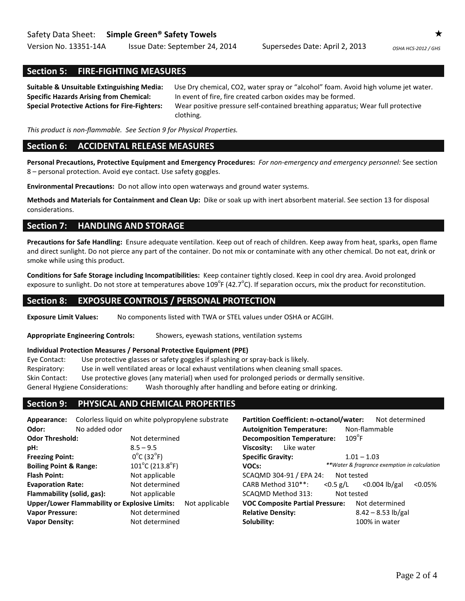Version No. 13351-14A Issue Date: September 24, 2014 Supersedes Date: April 2, 2013 *OSHA HCS-2012 / GHS*

# **Section 5: FIRE-FIGHTING MEASURES**

**Suitable & Unsuitable Extinguishing Media:** Use Dry chemical, CO2, water spray or "alcohol" foam. Avoid high volume jet water. **Specific Hazards Arising from Chemical:** In event of fire, fire created carbon oxides may be formed. **Special Protective Actions for Fire-Fighters:** Wear positive pressure self-contained breathing apparatus; Wear full protective clothing.

*This product is non-flammable. See Section 9 for Physical Properties.*

## **Section 6: ACCIDENTAL RELEASE MEASURES**

**Personal Precautions, Protective Equipment and Emergency Procedures:** *For non-emergency and emergency personnel:* See section 8 – personal protection. Avoid eye contact. Use safety goggles.

**Environmental Precautions:** Do not allow into open waterways and ground water systems.

**Methods and Materials for Containment and Clean Up:** Dike or soak up with inert absorbent material. See section 13 for disposal considerations.

## **Section 7: HANDLING AND STORAGE**

**Precautions for Safe Handling:** Ensure adequate ventilation. Keep out of reach of children. Keep away from heat, sparks, open flame and direct sunlight. Do not pierce any part of the container. Do not mix or contaminate with any other chemical. Do not eat, drink or smoke while using this product.

**Conditions for Safe Storage including Incompatibilities:** Keep container tightly closed. Keep in cool dry area. Avoid prolonged exposure to sunlight. Do not store at temperatures above 109 $^{\circ}$ F (42.7 $^{\circ}$ C). If separation occurs, mix the product for reconstitution.

## **Section 8: EXPOSURE CONTROLS / PERSONAL PROTECTION**

**Exposure Limit Values:** No components listed with TWA or STEL values under OSHA or ACGIH.

**Appropriate Engineering Controls:** Showers, eyewash stations, ventilation systems

### **Individual Protection Measures / Personal Protective Equipment (PPE)**

Eye Contact: Use protective glasses or safety goggles if splashing or spray-back is likely. Respiratory: Use in well ventilated areas or local exhaust ventilations when cleaning small spaces. Skin Contact: Use protective gloves (any material) when used for prolonged periods or dermally sensitive. General Hygiene Considerations: Wash thoroughly after handling and before eating or drinking.

## **Section 9: PHYSICAL AND CHEMICAL PROPERTIES**

| Colorless liquid on white polypropylene substrate<br>Appearance:       |               | <b>Partition Coefficient: n-octanol/water:</b> | Not determined                    |                                              |  |
|------------------------------------------------------------------------|---------------|------------------------------------------------|-----------------------------------|----------------------------------------------|--|
| Odor:                                                                  | No added odor |                                                | <b>Autoignition Temperature:</b>  | Non-flammable                                |  |
| <b>Odor Threshold:</b>                                                 |               | Not determined                                 | <b>Decomposition Temperature:</b> | $109^{\circ}$ F                              |  |
| pH:                                                                    |               | $8.5 - 9.5$                                    | Like water<br>Viscosity:          |                                              |  |
| <b>Freezing Point:</b>                                                 |               | $0^{\circ}$ C (32 $^{\circ}$ F)                | <b>Specific Gravity:</b>          | $1.01 - 1.03$                                |  |
| <b>Boiling Point &amp; Range:</b>                                      |               | $101^{\circ}$ C (213.8 $^{\circ}$ F)           | VOCs:                             | **Water & fragrance exemption in calculation |  |
| Not applicable<br><b>Flash Point:</b>                                  |               | SCAQMD 304-91 / EPA 24:<br>Not tested          |                                   |                                              |  |
| <b>Evaporation Rate:</b>                                               |               | Not determined                                 | CARB Method 310**:<br>$< 0.5$ g/L | $< 0.05\%$<br>$<$ 0.004 lb/gal               |  |
| Flammability (solid, gas):<br>Not applicable                           |               |                                                | SCAQMD Method 313:                | Not tested                                   |  |
| <b>Upper/Lower Flammability or Explosive Limits:</b><br>Not applicable |               | <b>VOC Composite Partial Pressure:</b>         | Not determined                    |                                              |  |
| <b>Vapor Pressure:</b>                                                 |               | Not determined                                 | <b>Relative Density:</b>          | $8.42 - 8.53$ lb/gal                         |  |
| <b>Vapor Density:</b>                                                  |               | Not determined                                 | Solubility:                       | 100% in water                                |  |
|                                                                        |               |                                                |                                   |                                              |  |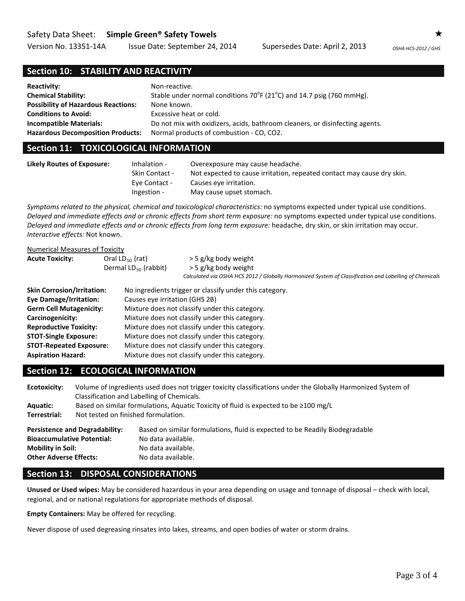## Safety Data Sheet: **Simple Green® Safety Towels**

Version No. 13351-14A Issue Date: September 24, 2014 Supersedes Date: April 2, 2013 OSHA HCS-2012 / GHS

# **Section 10: STABILITY AND REACTIVITY**

| <b>Reactivity:</b>                         | Non-reactive.                                                                       |
|--------------------------------------------|-------------------------------------------------------------------------------------|
| <b>Chemical Stability:</b>                 | Stable under normal conditions $70^{\circ}F(21^{\circ}C)$ and 14.7 psig (760 mmHg). |
| <b>Possibility of Hazardous Reactions:</b> | None known.                                                                         |
| <b>Conditions to Avoid:</b>                | Excessive heat or cold.                                                             |
| <b>Incompatible Materials:</b>             | Do not mix with oxidizers, acids, bathroom cleaners, or disinfecting agents.        |
| <b>Hazardous Decomposition Products:</b>   | Normal products of combustion - CO, CO2.                                            |

## **Section 11: TOXICOLOGICAL INFORMATION**

| <b>Likely Routes of Exposure:</b> | Inhalation -          | Overexposure may cause headache.                                       |
|-----------------------------------|-----------------------|------------------------------------------------------------------------|
|                                   | <b>Skin Contact -</b> | Not expected to cause irritation, repeated contact may cause dry skin. |
|                                   | Eye Contact -         | Causes eve irritation.                                                 |
|                                   | Ingestion -           | May cause upset stomach.                                               |

*Symptoms related to the physical, chemical and toxicological characteristics:* no symptoms expected under typical use conditions. *Delayed and immediate effects and or chronic effects from short term exposure:* no symptoms expected under typical use conditions. *Delayed and immediate effects and or chronic effects from long term exposure:* headache, dry skin, or skin irritation may occur. *Interactive effects:* Not known.

### Numerical Measures of Toxicity

| <b>Acute Toxicity:</b> | Oral $LD_{50}$ (rat)      | > 5 g/kg body weight                                                                                   |
|------------------------|---------------------------|--------------------------------------------------------------------------------------------------------|
|                        | Dermal $LD_{50}$ (rabbit) | > 5 g/kg body weight                                                                                   |
|                        |                           | Calculated via OSHA HCS 2012 / Globally Harmonized System of Classification and Labelling of Chemicals |

| <b>Skin Corrosion/Irritation:</b> | No ingredients trigger or classify under this category. |
|-----------------------------------|---------------------------------------------------------|
| <b>Eye Damage/Irritation:</b>     | Causes eye irritation (GHS 2B)                          |
| <b>Germ Cell Mutagenicity:</b>    | Mixture does not classify under this category.          |
| Carcinogenicity:                  | Mixture does not classify under this category.          |
| <b>Reproductive Toxicity:</b>     | Mixture does not classify under this category.          |
| <b>STOT-Single Exposure:</b>      | Mixture does not classify under this category.          |
| <b>STOT-Repeated Exposure:</b>    | Mixture does not classify under this category.          |
| <b>Aspiration Hazard:</b>         | Mixture does not classify under this category.          |

## **Section 12: ECOLOGICAL INFORMATION**

| Ecotoxicity:<br><b>Aquatic:</b><br>Terrestrial:                                                | Volume of ingredients used does not trigger toxicity classifications under the Globally Harmonized System of<br>Classification and Labelling of Chemicals.<br>Based on similar formulations, Aquatic Toxicity of fluid is expected to be ≥100 mg/L<br>Not tested on finished formulation. |                                                                                                                                                |
|------------------------------------------------------------------------------------------------|-------------------------------------------------------------------------------------------------------------------------------------------------------------------------------------------------------------------------------------------------------------------------------------------|------------------------------------------------------------------------------------------------------------------------------------------------|
| <b>Bioaccumulative Potential:</b><br><b>Mobility in Soil:</b><br><b>Other Adverse Effects:</b> | <b>Persistence and Degradability:</b>                                                                                                                                                                                                                                                     | Based on similar formulations, fluid is expected to be Readily Biodegradable<br>No data available.<br>No data available.<br>No data available. |

# **Section 13: DISPOSAL CONSIDERATIONS**

**Unused or Used wipes:** May be considered hazardous in your area depending on usage and tonnage of disposal – check with local, regional, and or national regulations for appropriate methods of disposal.

**Empty Containers:** May be offered for recycling.

Never dispose of used degreasing rinsates into lakes, streams, and open bodies of water or storm drains.